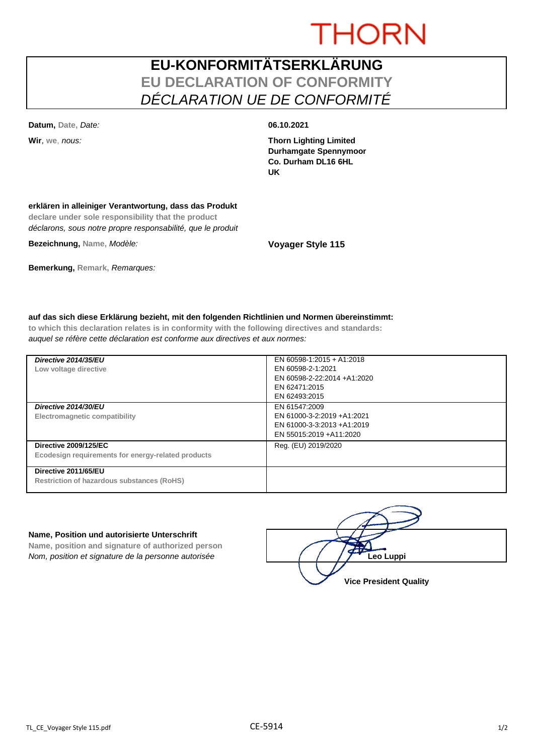# **THORN**

# **EU-KONFORMITÄTSERKLÄRUNG EU DECLARATION OF CONFORMITY** *DÉCLARATION UE DE CONFORMITÉ*

**Datum, Date,** *Date:* **06.10.2021**

**Wir**, **we**, *nous:* **Thorn Lighting Limited Durhamgate Spennymoor Co. Durham DL16 6HL UK**

## **erklären in alleiniger Verantwortung, dass das Produkt**

**declare under sole responsibility that the product** *déclarons, sous notre propre responsabilité, que le produit*

**Bezeichnung, Name,** *Modèle:* **Voyager Style 115**

## **Bemerkung, Remark,** *Remarques:*

## **auf das sich diese Erklärung bezieht, mit den folgenden Richtlinien und Normen übereinstimmt:**

**to which this declaration relates is in conformity with the following directives and standards:** *auquel se réfère cette déclaration est conforme aux directives et aux normes:*

| Directive 2014/35/EU<br>Low voltage directive                                      | EN 60598-1:2015 + A1:2018<br>EN 60598-2-1:2021<br>EN 60598-2-22:2014 +A1:2020<br>EN 62471:2015<br>EN 62493:2015 |
|------------------------------------------------------------------------------------|-----------------------------------------------------------------------------------------------------------------|
| Directive 2014/30/EU<br>Electromagnetic compatibility                              | EN 61547:2009<br>EN 61000-3-2:2019 +A1:2021<br>EN 61000-3-3:2013 +A1:2019<br>EN 55015:2019 +A11:2020            |
| <b>Directive 2009/125/EC</b><br>Ecodesign requirements for energy-related products | Reg. (EU) 2019/2020                                                                                             |
| Directive 2011/65/EU<br><b>Restriction of hazardous substances (RoHS)</b>          |                                                                                                                 |

#### **Name, Position und autorisierte Unterschrift**

**Name, position and signature of authorized person** *Nom, position et signature de la personne autorisée* 

| Leo Luppi                     |  |
|-------------------------------|--|
| <b>Vice President Quality</b> |  |